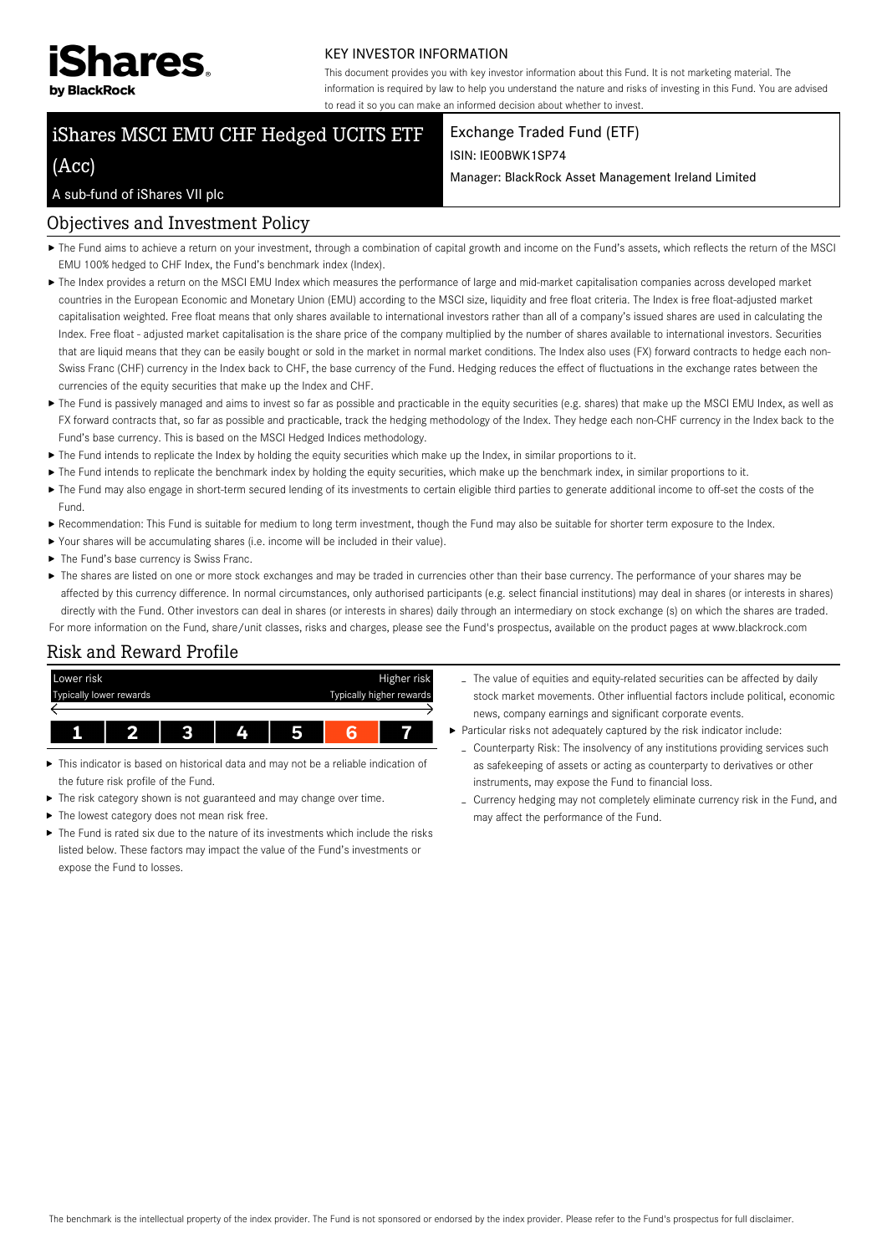

#### KEY INVESTOR INFORMATION

This document provides you with key investor information about this Fund. It is not marketing material. The information is required by law to help you understand the nature and risks of investing in this Fund. You are advised to read it so you can make an informed decision about whether to invest.

Manager: BlackRock Asset Management Ireland Limited

Exchange Traded Fund (ETF)

ISIN: IE00BWK1SP74

# iShares MSCI EMU CHF Hedged UCITS ETF

# (Acc)

#### A sub-fund of iShares VII plc

### Objectives and Investment Policy

- ▶ The Fund aims to achieve a return on your investment, through a combination of capital growth and income on the Fund's assets, which reflects the return of the MSCI EMU 100% hedged to CHF Index, the Fund's benchmark index (Index).
- The Index provides a return on the MSCI EMU Index which measures the performance of large and mid-market capitalisation companies across developed market countries in the European Economic and Monetary Union (EMU) according to the MSCI size, liquidity and free float criteria. The Index is free float-adjusted market capitalisation weighted. Free float means that only shares available to international investors rather than all of a company's issued shares are used in calculating the Index. Free float - adjusted market capitalisation is the share price of the company multiplied by the number of shares available to international investors. Securities that are liquid means that they can be easily bought or sold in the market in normal market conditions. The Index also uses (FX) forward contracts to hedge each non-Swiss Franc (CHF) currency in the Index back to CHF, the base currency of the Fund. Hedging reduces the effect of fluctuations in the exchange rates between the currencies of the equity securities that make up the Index and CHF.
- ▶ The Fund is passively managed and aims to invest so far as possible and practicable in the equity securities (e.g. shares) that make up the MSCI EMU Index, as well as FX forward contracts that, so far as possible and practicable, track the hedging methodology of the Index. They hedge each non-CHF currency in the Index back to the Fund's base currency. This is based on the MSCI Hedged Indices methodology.
- The Fund intends to replicate the Index by holding the equity securities which make up the Index, in similar proportions to it.
- ▶ The Fund intends to replicate the benchmark index by holding the equity securities, which make up the benchmark index, in similar proportions to it.
- ▶ The Fund may also engage in short-term secured lending of its investments to certain eligible third parties to generate additional income to off-set the costs of the Fund.
- Recommendation: This Fund is suitable for medium to long term investment, though the Fund may also be suitable for shorter term exposure to the Index.
- Your shares will be accumulating shares (i.e. income will be included in their value).
- $\blacktriangleright$  The Fund's base currency is Swiss Franc.
- ▶ The shares are listed on one or more stock exchanges and may be traded in currencies other than their base currency. The performance of your shares may be affected by this currency difference. In normal circumstances, only authorised participants (e.g. select financial institutions) may deal in shares (or interests in shares) directly with the Fund. Other investors can deal in shares (or interests in shares) daily through an intermediary on stock exchange (s) on which the shares are traded.

For more information on the Fund, share/unit classes, risks and charges, please see the Fund's prospectus, available on the product pages at www.blackrock.com

## Risk and Reward Profile



- This indicator is based on historical data and may not be a reliable indication of the future risk profile of the Fund.
- The risk category shown is not guaranteed and may change over time.
- ▶ The lowest category does not mean risk free.
- $\blacktriangleright$  The Fund is rated six due to the nature of its investments which include the risks listed below. These factors may impact the value of the Fund's investments or expose the Fund to losses.
- The value of equities and equity-related securities can be affected by daily stock market movements. Other influential factors include political, economic news, company earnings and significant corporate events.
- Particular risks not adequately captured by the risk indicator include:
	- Counterparty Risk: The insolvency of any institutions providing services such as safekeeping of assets or acting as counterparty to derivatives or other instruments, may expose the Fund to financial loss.
	- Currency hedging may not completely eliminate currency risk in the Fund, and may affect the performance of the Fund.